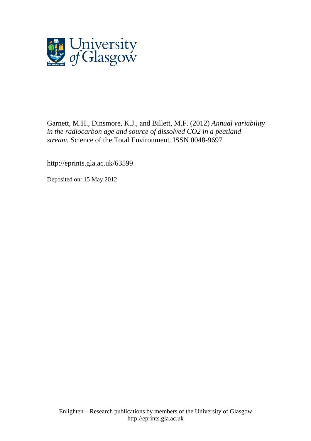

Garnett, M.H., Dinsmore, K.J., and Billett, M.F. (2012) *Annual variability in the radiocarbon age and source of dissolved CO2 in a peatland stream.* Science of the Total Environment. ISSN 0048-9697

http://eprints.gla.ac.uk/63599

Deposited on: 15 May 2012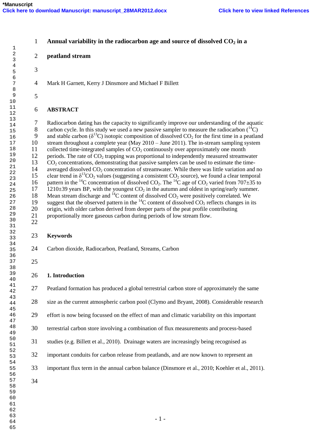| $\mathbf{1}$                     | $\mathbf{1}$   | Annual variability in the radiocarbon age and source of dissolved $CO2$ in a                                                                       |
|----------------------------------|----------------|----------------------------------------------------------------------------------------------------------------------------------------------------|
| $\sqrt{2}$<br>3                  | $\mathbf{2}$   | peatland stream                                                                                                                                    |
| $\overline{\mathbf{4}}$<br>5     | 3              |                                                                                                                                                    |
| 6<br>$\sqrt{ }$                  | $\overline{4}$ | Mark H Garnett, Kerry J Dinsmore and Michael F Billett                                                                                             |
| $\,8\,$<br>9<br>$10$             | 5              |                                                                                                                                                    |
| 11<br>$12\,$                     | 6              | <b>ABSTRACT</b>                                                                                                                                    |
| 13                               |                |                                                                                                                                                    |
| 14                               | 7              | Radiocarbon dating has the capacity to significantly improve our understanding of the aquatic                                                      |
| 15                               | 8              | carbon cycle. In this study we used a new passive sampler to measure the radiocarbon $(^{14}C)$                                                    |
| 16                               | 9              | and stable carbon ( $\delta^{13}$ C) isotopic composition of dissolved CO <sub>2</sub> for the first time in a peatland                            |
| $17\,$                           | 10             | stream throughout a complete year (May 2010 - June 2011). The in-stream sampling system                                                            |
| 18                               | 11             | collected time-integrated samples of $CO2$ continuously over approximately one month                                                               |
| 19<br>20                         | 12             | periods. The rate of $CO2$ trapping was proportional to independently measured streamwater                                                         |
| 21                               | 13             | $CO2$ concentrations, demonstrating that passive samplers can be used to estimate the time-                                                        |
| 22                               | 14             | averaged dissolved CO <sub>2</sub> concentration of streamwater. While there was little variation and no                                           |
| 23                               | 15             | clear trend in $\delta^{13}CO_2$ values (suggesting a consistent CO <sub>2</sub> source), we found a clear temporal                                |
| 24                               | 16             | pattern in the <sup>14</sup> C concentration of dissolved CO <sub>2</sub> . The <sup>14</sup> C age of CO <sub>2</sub> varied from 707 $\pm$ 35 to |
| 25                               | 17             | 1210 $\pm$ 39 years BP, with the youngest CO <sub>2</sub> in the autumn and oldest in spring/early summer.                                         |
| 26                               | 18             | Mean stream discharge and ${}^{14}C$ content of dissolved $CO2$ were positively correlated. We                                                     |
| 27                               | 19             | suggest that the observed pattern in the ${}^{14}C$ content of dissolved $CO_2$ reflects changes in its                                            |
| 28                               | 20             | origin, with older carbon derived from deeper parts of the peat profile contributing                                                               |
| 29                               | 21             | proportionally more gaseous carbon during periods of low stream flow.                                                                              |
| 30                               | 22             |                                                                                                                                                    |
| 31                               |                |                                                                                                                                                    |
| 32                               | 23             | <b>Keywords</b>                                                                                                                                    |
| 33<br>34                         |                |                                                                                                                                                    |
| 35                               | 24             | Carbon dioxide, Radiocarbon, Peatland, Streams, Carbon                                                                                             |
| 36                               |                |                                                                                                                                                    |
| 37                               | 25             |                                                                                                                                                    |
| 38                               |                |                                                                                                                                                    |
| 39                               | 26             | 1. Introduction                                                                                                                                    |
| 40                               |                |                                                                                                                                                    |
| 41<br>42                         | 27             | Peatland formation has produced a global terrestrial carbon store of approximately the same                                                        |
| 43<br>44<br>45                   | 28             | size as the current atmospheric carbon pool (Clymo and Bryant, 2008). Considerable research                                                        |
| 46<br>47                         | 29             | effort is now being focussed on the effect of man and climatic variability on this important                                                       |
| 48<br>49                         | 30             | terrestrial carbon store involving a combination of flux measurements and process-based                                                            |
| 50<br>51<br>52                   | 31             | studies (e.g. Billett et al., 2010). Drainage waters are increasingly being recognised as                                                          |
| 53<br>54                         | 32             | important conduits for carbon release from peatlands, and are now known to represent an                                                            |
| 55<br>56                         | 33             | important flux term in the annual carbon balance (Dinsmore et al., 2010; Koehler et al., 2011).                                                    |
| 57<br>58<br>59<br>60<br>61<br>62 | 34             |                                                                                                                                                    |
| 63                               |                |                                                                                                                                                    |
| 64                               |                | $-1-$                                                                                                                                              |
| 65                               |                |                                                                                                                                                    |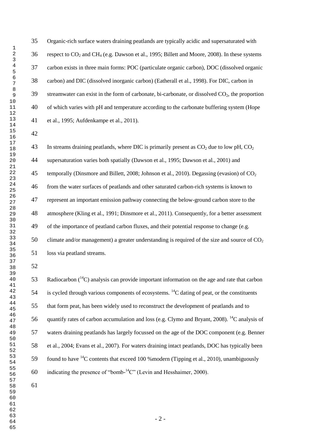Organic-rich surface waters draining peatlands are typically acidic and supersaturated with respect to CO<sup>2</sup> and CH<sup>4</sup> (e.g. Dawson et al., 1995; Billett and Moore, 2008). In these systems carbon exists in three main forms: POC (particulate organic carbon), DOC (dissolved organic carbon) and DIC (dissolved inorganic carbon) (Eatherall et al., 1998). For DIC, carbon in 39 streamwater can exist in the form of carbonate, bi-carbonate, or dissolved  $CO<sub>2</sub>$ , the proportion of which varies with pH and temperature according to the carbonate buffering system (Hope et al., 1995; Aufdenkampe et al., 2011).

43 In streams draining peatlands, where DIC is primarily present as  $CO<sub>2</sub>$  due to low pH,  $CO<sub>2</sub>$  supersaturation varies both spatially (Dawson et al., 1995; Dawson et al., 2001) and 45 temporally (Dinsmore and Billett, 2008; Johnson et al., 2010). Degassing (evasion) of  $CO<sub>2</sub>$  from the water surfaces of peatlands and other saturated carbon-rich systems is known to represent an important emission pathway connecting the below-ground carbon store to the atmosphere (Kling et al., 1991; Dinsmore et al., 2011). Consequently, for a better assessment of the importance of peatland carbon fluxes, and their potential response to change (e.g. 50 climate and/or management) a greater understanding is required of the size and source of  $CO<sub>2</sub>$ loss via peatland streams.

53 Radiocarbon  $(14)$  analysis can provide important information on the age and rate that carbon 54 is cycled through various components of ecosystems. <sup>14</sup>C dating of peat, or the constituents that form peat, has been widely used to reconstruct the development of peatlands and to 56 quantify rates of carbon accumulation and loss (e.g. Clymo and Bryant, 2008). <sup>14</sup>C analysis of waters draining peatlands has largely focussed on the age of the DOC component (e.g. Benner et al., 2004; Evans et al., 2007). For waters draining intact peatlands, DOC has typically been 59 found to have  $^{14}$ C contents that exceed 100 % modern (Tipping et al., 2010), unambiguously 60 indicating the presence of "bomb- $^{14}$ C" (Levin and Hesshaimer, 2000).

- 2 -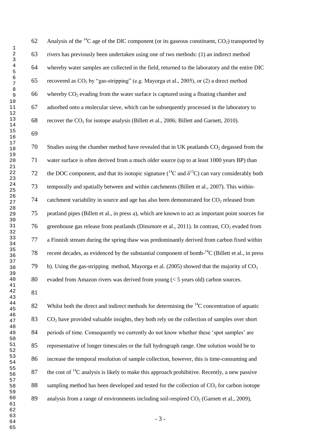62 Analysis of the <sup>14</sup>C age of the DIC component (or its gaseous constituent,  $CO<sub>2</sub>$ ) transported by rivers has previously been undertaken using one of two methods: (1) an indirect method whereby water samples are collected in the field, returned to the laboratory and the entire DIC 65 recovered as  $CO<sub>2</sub>$  by "gas-stripping" (e.g. Mayorga et al., 2005), or (2) a direct method 66 whereby  $CO_2$  evading from the water surface is captured using a floating chamber and adsorbed onto a molecular sieve, which can be subsequently processed in the laboratory to 68 recover the  $CO_2$  for isotope analysis (Billett et al., 2006; Billett and Garnett, 2010).

70 Studies using the chamber method have revealed that in UK peatlands  $CO<sub>2</sub>$  degassed from the water surface is often derived from a much older source (up to at least 1000 years BP) than 72 the DOC component, and that its isotopic signature ( ${}^{14}$ C and  $\delta {}^{13}$ C) can vary considerably both temporally and spatially between and within catchments (Billett et al., 2007). This within-74 catchment variability in source and age has also been demonstrated for  $CO<sub>2</sub>$  released from peatland pipes (Billett et al., in press a), which are known to act as important point sources for 76 greenhouse gas release from peatlands (Dinsmore et al., 2011). In contrast,  $CO_2$  evaded from a Finnish stream during the spring thaw was predominantly derived from carbon fixed within 78 recent decades, as evidenced by the substantial component of bomb- ${}^{14}C$  (Billett et al., in press 79 b). Using the gas-stripping method, Mayorga et al. (2005) showed that the majority of  $CO<sub>2</sub>$ evaded from Amazon rivers was derived from young (< 5 years old) carbon sources.

82 Whilst both the direct and indirect methods for determining the  $\rm ^{14}C$  concentration of aquatic 83  $CO<sub>2</sub>$  have provided valuable insights, they both rely on the collection of samples over short 84 periods of time. Consequently we currently do not know whether these 'spot samples' are representative of longer timescales or the full hydrograph range. One solution would be to increase the temporal resolution of sample collection, however, this is time-consuming and 87 the cost of  ${}^{14}C$  analysis is likely to make this approach prohibitive. Recently, a new passive 88 sampling method has been developed and tested for the collection of  $CO<sub>2</sub>$  for carbon isotope 89 analysis from a range of environments including soil-respired  $CO<sub>2</sub>$  (Garnett et al., 2009),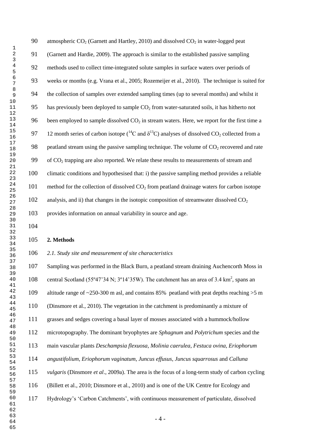| 90  | atmospheric $CO2$ (Garnett and Hartley, 2010) and dissolved $CO2$ in water-logged peat                                        |
|-----|-------------------------------------------------------------------------------------------------------------------------------|
| 91  | (Garnett and Hardie, 2009). The approach is similar to the established passive sampling                                       |
| 92  | methods used to collect time-integrated solute samples in surface waters over periods of                                      |
| 93  | weeks or months (e.g. Vrana et al., 2005; Rozemeijer et al., 2010). The technique is suited for                               |
| 94  | the collection of samples over extended sampling times (up to several months) and whilst it                                   |
| 95  | has previously been deployed to sample $CO2$ from water-saturated soils, it has hitherto not                                  |
| 96  | been employed to sample dissolved $CO2$ in stream waters. Here, we report for the first time a                                |
| 97  | 12 month series of carbon isotope ( ${}^{14}C$ and $\delta {}^{13}C$ ) analyses of dissolved CO <sub>2</sub> collected from a |
| 98  | peatland stream using the passive sampling technique. The volume of $CO2$ recovered and rate                                  |
| 99  | of CO <sub>2</sub> trapping are also reported. We relate these results to measurements of stream and                          |
| 100 | climatic conditions and hypothesised that: i) the passive sampling method provides a reliable                                 |
| 101 | method for the collection of dissolved CO <sub>2</sub> from peatland drainage waters for carbon isotope                       |
| 102 | analysis, and ii) that changes in the isotopic composition of streamwater dissolved $CO2$                                     |
| 103 | provides information on annual variability in source and age.                                                                 |
|     |                                                                                                                               |

#### **2. Methods**

#### *2.1. Study site and measurement of site characteristics*

 Sampling was performed in the Black Burn, a peatland stream draining Auchencorth Moss in 108 central Scotland (55°47'34 N; 3°14'35W). The catchment has an area of 3.4 km<sup>2</sup>, spans an altitude range of ~250-300 m asl, and contains 85% peatland with peat depths reaching >5 m (Dinsmore et al., 2010). The vegetation in the catchment is predominantly a mixture of grasses and sedges covering a basal layer of mosses associated with a hummock/hollow microtopography. The dominant bryophytes are *Sphagnum* and *Polytrichum* species and the main vascular plants *Deschampsia flexuosa*, *Molinia caerulea*, *Festuca ovina*, *Eriophorum angustifolium*, *Eriophorum vaginatum*, *Juncus effusus*, *Juncus squarrosus* and *Calluna vulgaris* (Dinsmore *et al*., 2009a). The area is the focus of a long-term study of carbon cycling (Billett et al., 2010; Dinsmore et al., 2010) and is one of the UK Centre for Ecology and Hydrology"s "Carbon Catchments", with continuous measurement of particulate, dissolved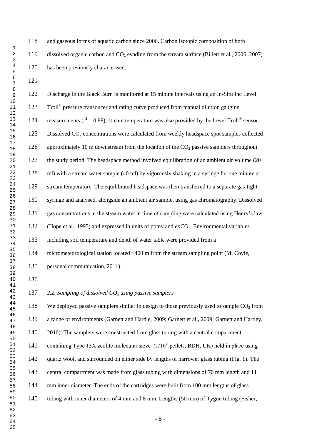and gaseous forms of aquatic carbon since 2006. Carbon isotopic composition of both dissolved organic carbon and CO<sup>2</sup> evading from the stream surface (Billett et al., 2006, 2007) has been previously characterised.

- 5 - Discharge in the Black Burn is monitored at 15 minute intervals using an In-Situ Inc Level 123 Troll<sup>®</sup> pressure transducer and rating curve produced from manual dilution gauging 124 measurements ( $r^2 = 0.88$ ); stream temperature was also provided by the Level Troll<sup>®</sup> sensor. 125 Dissolved CO<sub>2</sub> concentrations were calculated from weekly headspace spot samples collected 126 approximately 10 m downstream from the location of the  $CO<sub>2</sub>$  passive samplers throughout the study period. The headspace method involved equilibration of an ambient air volume (20 ml) with a stream water sample (40 ml) by vigorously shaking in a syringe for one minute at stream temperature. The equilibrated headspace was then transferred to a separate gas-tight syringe and analysed, alongside an ambient air sample, using gas chromatography. Dissolved gas concentrations in the stream water at time of sampling were calculated using Henry"s law 132 (Hope et al., 1995) and expressed in units of ppmy and *ep*CO<sub>2</sub>. Environmental variables including soil temperature and depth of water table were provided from a micrometeorological station located ~400 m from the stream sampling point (M. Coyle, personal communication, 2011). *2.2. Sampling of dissolved CO<sup>2</sup> using passive samplers* 138 We deployed passive samplers similar in design to those previously used to sample  $CO<sub>2</sub>$  from a range of environments (Garnett and Hardie, 2009; Garnett et al., 2009; Garnett and Hartley, 140 2010). The samplers were constructed from glass tubing with a central compartment containing Type 13X zeolite molecular sieve (1/16" pellets, BDH, UK) held in place using quartz wool, and surrounded on either side by lengths of narrower glass tubing (Fig. 1). The central compartment was made from glass tubing with dimensions of 70 mm length and 11 mm inner diameter. The ends of the cartridges were built from 100 mm lengths of glass tubing with inner diameters of 4 mm and 8 mm. Lengths (50 mm) of Tygon tubing (Fisher,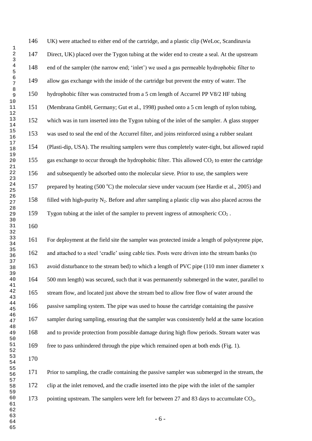UK) were attached to either end of the cartridge, and a plastic clip (WeLoc, Scandinavia Direct, UK) placed over the Tygon tubing at the wider end to create a seal. At the upstream end of the sampler (the narrow end; "inlet") we used a gas permeable hydrophobic filter to allow gas exchange with the inside of the cartridge but prevent the entry of water. The hydrophobic filter was constructed from a 5 cm length of Accurrel PP V8/2 HF tubing (Membrana GmbH, Germany; Gut et al., 1998) pushed onto a 5 cm length of nylon tubing, which was in turn inserted into the Tygon tubing of the inlet of the sampler. A glass stopper was used to seal the end of the Accurrel filter, and joins reinforced using a rubber sealant (Plasti-dip, USA). The resulting samplers were thus completely water-tight, but allowed rapid 155 gas exchange to occur through the hydrophobic filter. This allowed  $CO<sub>2</sub>$  to enter the cartridge and subsequently be adsorbed onto the molecular sieve. Prior to use, the samplers were 157 prepared by heating (500 °C) the molecular sieve under vacuum (see Hardie et al., 2005) and 158 filled with high-purity  $N_2$ . Before and after sampling a plastic clip was also placed across the Tygon tubing at the inlet of the sampler to prevent ingress of atmospheric CO<sup>2</sup> .

 For deployment at the field site the sampler was protected inside a length of polystyrene pipe, and attached to a steel "cradle" using cable ties. Posts were driven into the stream banks (to avoid disturbance to the stream bed) to which a length of PVC pipe (110 mm inner diameter x 500 mm length) was secured, such that it was permanently submerged in the water, parallel to stream flow, and located just above the stream bed to allow free flow of water around the passive sampling system. The pipe was used to house the cartridge containing the passive sampler during sampling, ensuring that the sampler was consistently held at the same location and to provide protection from possible damage during high flow periods. Stream water was free to pass unhindered through the pipe which remained open at both ends (Fig. 1).

 Prior to sampling, the cradle containing the passive sampler was submerged in the stream, the clip at the inlet removed, and the cradle inserted into the pipe with the inlet of the sampler 173 pointing upstream. The samplers were left for between 27 and 83 days to accumulate  $CO<sub>2</sub>$ ,

- 6 -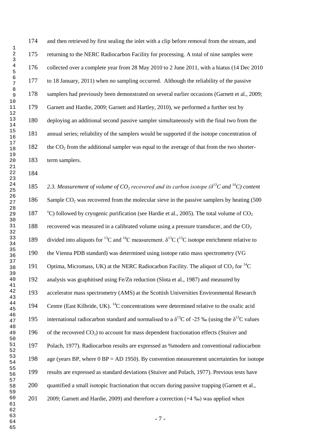174 and then retrieved by first sealing the inlet with a clip before removal from the stream, and returning to the NERC Radiocarbon Facility for processing. A total of nine samples were collected over a complete year from 28 May 2010 to 2 June 2011, with a hiatus (14 Dec 2010 to 18 January, 2011) when no sampling occurred. Although the reliability of the passive samplers had previously been demonstrated on several earlier occasions (Garnett et al., 2009; Garnett and Hardie, 2009; Garnett and Hartley, 2010), we performed a further test by deploying an additional second passive sampler simultaneously with the final two from the annual series; reliability of the samplers would be supported if the isotope concentration of the CO<sub>2</sub> from the additional sampler was equal to the average of that from the two shorter-term samplers.

**2.3. Measurement of volume of CO<sub>2</sub> recovered and its carbon isotope (** $\delta^{13}$ **C and <sup>14</sup>C) content** 186 Sample CO<sub>2</sub> was recovered from the molecular sieve in the passive samplers by heating (500) 187 °C) followed by cryogenic purification (see Hardie et al., 2005). The total volume of CO<sub>2</sub> 188 recovered was measured in a calibrated volume using a pressure transducer, and the  $CO<sub>2</sub>$ 189 divided into aliquots for <sup>13</sup>C and <sup>14</sup>C measurement.  $\delta^{13}C$  (<sup>13</sup>C isotope enrichment relative to the Vienna PDB standard) was determined using isotope ratio mass spectrometry (VG 191 Optima, Micromass, UK) at the NERC Radiocarbon Facility. The aliquot of  $CO<sub>2</sub>$  for <sup>14</sup>C analysis was graphitised using Fe/Zn reduction (Slota et al., 1987) and measured by accelerator mass spectrometry (AMS) at the Scottish Universities Environmental Research 194 Centre (East Kilbride, UK).  $^{14}$ C concentrations were determined relative to the oxalic acid 195 international radiocarbon standard and normalised to a  $\delta^{13}$ C of -25 ‰ (using the  $\delta^{13}$ C values 196 of the recovered  $CO<sub>2</sub>$ ) to account for mass dependent fractionation effects (Stuiver and Polach, 1977). Radiocarbon results are expressed as %modern and conventional radiocarbon 198 age (years BP, where BP = AD 1950). By convention measurement uncertainties for isotope results are expressed as standard deviations (Stuiver and Polach, 1977). Previous tests have quantified a small isotopic fractionation that occurs during passive trapping (Garnett et al., 2009; Garnett and Hardie, 2009) and therefore a correction (+4 ‰) was applied when

- 7 -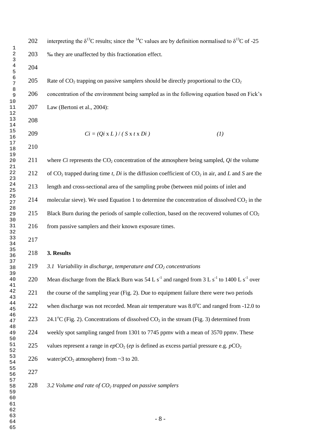202 interpreting the  $\delta^{13}$ C results; since the <sup>14</sup>C values are by definition normalised to  $\delta^{13}$ C of -25 ‰ they are unaffected by this fractionation effect.

205 Rate of  $CO<sub>2</sub>$  trapping on passive samplers should be directly proportional to the  $CO<sub>2</sub>$  concentration of the environment being sampled as in the following equation based on Fick"s Law (Bertoni et al., 2004):

209  $Ci = (Qi \times L) / (S \times t \times Di)$  (1)

211 where *Ci* represents the CO<sub>2</sub> concentration of the atmosphere being sampled, *Qi* the volume 212 of  $CO_2$  trapped during time *t*, *Di* is the diffusion coefficient of  $CO_2$  in air, and *L* and *S* are the length and cross-sectional area of the sampling probe (between mid points of inlet and 214 molecular sieve). We used Equation 1 to determine the concentration of dissolved  $CO<sub>2</sub>$  in the 215 Black Burn during the periods of sample collection, based on the recovered volumes of  $CO<sub>2</sub>$ 216 from passive samplers and their known exposure times.

#### **3. Results**

*3.1 Variability in discharge, temperature and CO<sup>2</sup> concentrations*

220 Mean discharge from the Black Burn was 54 L s<sup>-1</sup> and ranged from 3 L s<sup>-1</sup> to 1400 L s<sup>-1</sup> over 221 the course of the sampling year (Fig. 2). Due to equipment failure there were two periods 222 when discharge was not recorded. Mean air temperature was  $8.0^{\circ}$ C and ranged from -12.0 to 223 24.1°C (Fig. 2). Concentrations of dissolved  $CO_2$  in the stream (Fig. 3) determined from weekly spot sampling ranged from 1301 to 7745 ppmv with a mean of 3570 ppmv. These 225 values represent a range in  $epCO<sub>2</sub> (ep)$  is defined as excess partial pressure e.g.  $pCO<sub>2</sub>$ 226 water/ $pCO_2$  atmosphere) from  $\sim$ 3 to 20. *3.2 Volume and rate of CO<sup>2</sup> trapped on passive samplers*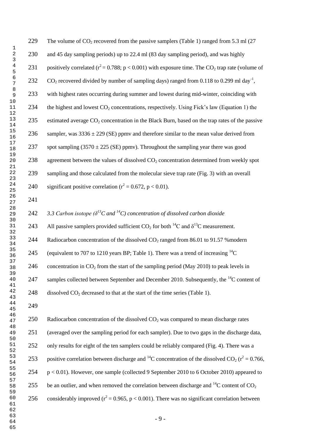| 229 | The volume of $CO_2$ recovered from the passive samplers (Table 1) ranged from 5.3 ml (27)                                 |
|-----|----------------------------------------------------------------------------------------------------------------------------|
| 230 | and 45 day sampling periods) up to 22.4 ml (83 day sampling period), and was highly                                        |
| 231 | positively correlated ( $r^2$ = 0.788; p < 0.001) with exposure time. The CO <sub>2</sub> trap rate (volume of             |
| 232 | $CO2$ recovered divided by number of sampling days) ranged from 0.118 to 0.299 ml day <sup>-1</sup> ,                      |
| 233 | with highest rates occurring during summer and lowest during mid-winter, coinciding with                                   |
| 234 | the highest and lowest $CO_2$ concentrations, respectively. Using Fick's law (Equation 1) the                              |
| 235 | estimated average CO <sub>2</sub> concentration in the Black Burn, based on the trap rates of the passive                  |
| 236 | sampler, was $3336 \pm 229$ (SE) ppmv and therefore similar to the mean value derived from                                 |
| 237 | spot sampling $(3570 \pm 225$ (SE) ppmv). Throughout the sampling year there was good                                      |
| 238 | agreement between the values of dissolved $CO2$ concentration determined from weekly spot                                  |
| 239 | sampling and those calculated from the molecular sieve trap rate (Fig. 3) with an overall                                  |
| 240 | significant positive correlation ( $r^2$ = 0.672, p < 0.01).                                                               |
| 241 |                                                                                                                            |
| 242 | 3.3 Carbon isotope ( $\delta^{13}$ C and $^{14}$ C) concentration of dissolved carbon dioxide                              |
| 243 | All passive samplers provided sufficient $CO_2$ for both <sup>14</sup> C and $\delta^{13}C$ measurement.                   |
| 244 | Radiocarbon concentration of the dissolved $CO2$ ranged from 86.01 to 91.57 % modern                                       |
| 245 | (equivalent to 707 to 1210 years BP; Table 1). There was a trend of increasing $^{14}$ C                                   |
| 246 | concentration in $CO_2$ from the start of the sampling period (May 2010) to peak levels in                                 |
| 247 | samples collected between September and December 2010. Subsequently, the <sup>14</sup> C content of                        |
| 248 | dissolved $CO2$ decreased to that at the start of the time series (Table 1).                                               |
| 249 |                                                                                                                            |
| 250 | Radiocarbon concentration of the dissolved $CO2$ was compared to mean discharge rates                                      |
| 251 | (averaged over the sampling period for each sampler). Due to two gaps in the discharge data,                               |
| 252 | only results for eight of the ten samplers could be reliably compared (Fig. 4). There was a                                |
| 253 | positive correlation between discharge and <sup>14</sup> C concentration of the dissolved CO <sub>2</sub> ( $r^2$ = 0.766, |
| 254 | $p < 0.01$ ). However, one sample (collected 9 September 2010 to 6 October 2010) appeared to                               |
| 255 | be an outlier, and when removed the correlation between discharge and $^{14}C$ content of $CO2$                            |
| 256 | considerably improved ( $r^2$ = 0.965, p < 0.001). There was no significant correlation between                            |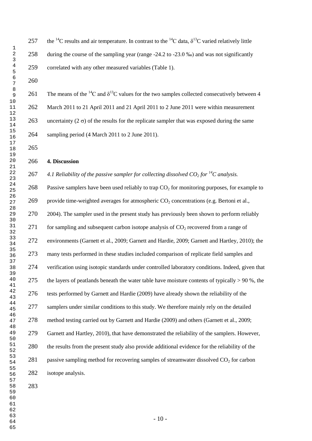# 257 the <sup>14</sup>C results and air temperature. In contrast to the <sup>14</sup>C data,  $\delta^{13}$ C varied relatively little during the course of the sampling year (range -24.2 to -23.0 ‰) and was not significantly correlated with any other measured variables (Table 1).

261 The means of the <sup>14</sup>C and  $\delta^{13}$ C values for the two samples collected consecutively between 4 March 2011 to 21 April 2011 and 21 April 2011 to 2 June 2011 were within measurement 263 uncertainty ( $2 \sigma$ ) of the results for the replicate sampler that was exposed during the same sampling period (4 March 2011 to 2 June 2011).

**4. Discussion**

267 4.1 Reliability of the passive sampler for collecting dissolved  $CO_2$  for <sup>14</sup>C analysis.

268 Passive samplers have been used reliably to trap  $CO<sub>2</sub>$  for monitoring purposes, for example to 269 provide time-weighted averages for atmospheric  $CO_2$  concentrations (e.g. Bertoni et al., 2004). The sampler used in the present study has previously been shown to perform reliably 271 for sampling and subsequent carbon isotope analysis of  $CO<sub>2</sub>$  recovered from a range of environments (Garnett et al., 2009; Garnett and Hardie, 2009; Garnett and Hartley, 2010); the many tests performed in these studies included comparison of replicate field samples and verification using isotopic standards under controlled laboratory conditions. Indeed, given that 275 the layers of peatlands beneath the water table have moisture contents of typically  $> 90\%$ , the tests performed by Garnett and Hardie (2009) have already shown the reliability of the 277 samplers under similar conditions to this study. We therefore mainly rely on the detailed method testing carried out by Garnett and Hardie (2009) and others (Garnett et al., 2009; Garnett and Hartley, 2010), that have demonstrated the reliability of the samplers. However, the results from the present study also provide additional evidence for the reliability of the 281 passive sampling method for recovering samples of streamwater dissolved  $CO<sub>2</sub>$  for carbon isotope analysis.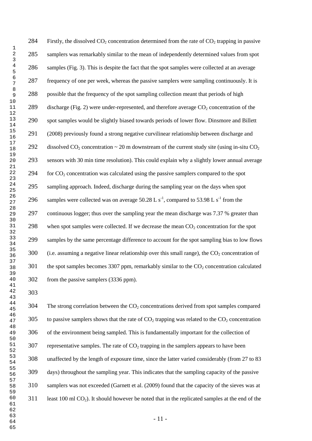284 Firstly, the dissolved  $CO<sub>2</sub>$  concentration determined from the rate of  $CO<sub>2</sub>$  trapping in passive samplers was remarkably similar to the mean of independently determined values from spot samples (Fig. 3). This is despite the fact that the spot samples were collected at an average frequency of one per week, whereas the passive samplers were sampling continuously. It is possible that the frequency of the spot sampling collection meant that periods of high 289 discharge (Fig. 2) were under-represented, and therefore average  $CO<sub>2</sub>$  concentration of the spot samples would be slightly biased towards periods of lower flow. Dinsmore and Billett (2008) previously found a strong negative curvilinear relationship between discharge and 292 dissolved CO<sub>2</sub> concentration  $\sim$  20 m downstream of the current study site (using in-situ CO<sub>2</sub>) sensors with 30 min time resolution). This could explain why a slightly lower annual average for CO<sub>2</sub> concentration was calculated using the passive samplers compared to the spot sampling approach. Indeed, discharge during the sampling year on the days when spot 296 samples were collected was on average 50.28 L s<sup>-1</sup>, compared to 53.98 L s<sup>-1</sup> from the continuous logger; thus over the sampling year the mean discharge was 7.37 % greater than 298 when spot samples were collected. If we decrease the mean  $CO<sub>2</sub>$  concentration for the spot samples by the same percentage difference to account for the spot sampling bias to low flows 300 (i.e. assuming a negative linear relationship over this small range), the  $CO<sub>2</sub>$  concentration of the spot samples becomes 3307 ppm, remarkably similar to the  $CO<sub>2</sub>$  concentration calculated from the passive samplers (3336 ppm). 

 The strong correlation between the  $CO<sub>2</sub>$  concentrations derived from spot samples compared to passive samplers shows that the rate of CO<sub>2</sub> trapping was related to the CO<sub>2</sub> concentration of the environment being sampled. This is fundamentally important for the collection of representative samples. The rate of  $CO<sub>2</sub>$  trapping in the samplers appears to have been unaffected by the length of exposure time, since the latter varied considerably (from 27 to 83 days) throughout the sampling year. This indicates that the sampling capacity of the passive samplers was not exceeded (Garnett et al. (2009) found that the capacity of the sieves was at least 100 ml CO<sub>2</sub>). It should however be noted that in the replicated samples at the end of the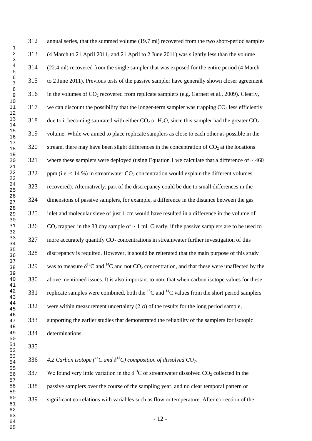| 312 | annual series, that the summed volume (19.7 ml) recovered from the two short-period samples                    |
|-----|----------------------------------------------------------------------------------------------------------------|
| 313 | (4 March to 21 April 2011, and 21 April to 2 June 2011) was slightly less than the volume                      |
| 314 | (22.4 ml) recovered from the single sampler that was exposed for the entire period (4 March                    |
| 315 | to 2 June 2011). Previous tests of the passive sampler have generally shown closer agreement                   |
| 316 | in the volumes of $CO_2$ recovered from replicate samplers (e.g. Garnett et al., 2009). Clearly,               |
| 317 | we can discount the possibility that the longer-term sampler was trapping $CO2$ less efficiently               |
| 318 | due to it becoming saturated with either $CO_2$ or $H_2O$ , since this sampler had the greater $CO_2$          |
| 319 | volume. While we aimed to place replicate samplers as close to each other as possible in the                   |
| 320 | stream, there may have been slight differences in the concentration of $CO2$ at the locations                  |
| 321 | where these samplers were deployed (using Equation 1 we calculate that a difference of $\sim$ 460              |
| 322 | ppm (i.e. $<$ 14 %) in streamwater $CO2$ concentration would explain the different volumes                     |
| 323 | recovered). Alternatively, part of the discrepancy could be due to small differences in the                    |
| 324 | dimensions of passive samplers, for example, a difference in the distance between the gas                      |
| 325 | inlet and molecular sieve of just 1 cm would have resulted in a difference in the volume of                    |
| 326 | $CO2$ trapped in the 83 day sample of $\sim$ 1 ml. Clearly, if the passive samplers are to be used to          |
| 327 | more accurately quantify $CO2$ concentrations in streamwater further investigation of this                     |
| 328 | discrepancy is required. However, it should be reiterated that the main purpose of this study                  |
| 329 | was to measure $\delta^{13}C$ and $^{14}C$ and not $CO_2$ concentration, and that these were unaffected by the |
| 330 | above mentioned issues. It is also important to note that when carbon isotope values for these                 |
| 331 | replicate samples were combined, both the $^{13}$ C and $^{14}$ C values from the short period samplers        |
| 332 | were within measurement uncertainty (2 $\sigma$ ) of the results for the long period sample,                   |
| 333 | supporting the earlier studies that demonstrated the reliability of the samplers for isotopic                  |
| 334 | determinations.                                                                                                |

**4.2 Carbon isotope**  $\binom{^{14}C}{^1}$  and  $\delta^{^{13}C}$  composition of dissolved CO<sub>2</sub>.

337 We found very little variation in the  $\delta^{13}$ C of streamwater dissolved CO<sub>2</sub> collected in the passive samplers over the course of the sampling year, and no clear temporal pattern or significant correlations with variables such as flow or temperature. After correction of the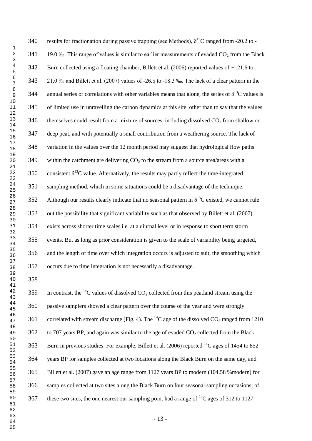340 results for fractionation during passive trapping (see Methods),  $\delta^{13}$ C ranged from -20.2 to -341 19.0 ‰. This range of values is similar to earlier measurements of evaded  $CO<sub>2</sub>$  from the Black Burn collected using a floating chamber; Billett et al. (2006) reported values of ~ -21.6 to - 21.0 ‰ and Billett et al. (2007) values of -26.5 to -18.3 ‰. The lack of a clear pattern in the 344 annual series or correlations with other variables means that alone, the series of  $\delta^{13}C$  values is of limited use in unravelling the carbon dynamics at this site, other than to say that the values 346 themselves could result from a mixture of sources, including dissolved  $CO<sub>2</sub>$  from shallow or deep peat, and with potentially a small contribution from a weathering source. The lack of variation in the values over the 12 month period may suggest that hydrological flow paths 349 within the catchment are delivering  $CO<sub>2</sub>$  to the stream from a source area/areas with a 350 consistent  $\delta^{13}$ C value. Alternatively, the results may partly reflect the time-integrated sampling method, which in some situations could be a disadvantage of the technique. 352 Although our results clearly indicate that no seasonal pattern in  $\delta^{13}C$  existed, we cannot rule out the possibility that significant variability such as that observed by Billett et al. (2007) exists across shorter time scales i.e. at a diurnal level or in response to short term storm events. But as long as prior consideration is given to the scale of variability being targeted, and the length of time over which integration occurs is adjusted to suit, the smoothing which occurs due to time integration is not necessarily a disadvantage.

359 In contrast, the <sup>14</sup>C values of dissolved CO<sub>2</sub> collected from this peatland stream using the passive samplers showed a clear pattern over the course of the year and were strongly 361 correlated with stream discharge (Fig. 4). The <sup>14</sup>C age of the dissolved CO<sub>2</sub> ranged from 1210 to 707 years BP, and again was similar to the age of evaded  $CO<sub>2</sub>$  collected from the Black 363 Burn in previous studies. For example, Billett et al. (2006) reported  $^{14}C$  ages of 1454 to 852 years BP for samples collected at two locations along the Black Burn on the same day, and Billett et al. (2007) gave an age range from 1127 years BP to modern (104.58 %modern) for samples collected at two sites along the Black Burn on four seasonal sampling occasions; of 367 these two sites, the one nearest our sampling point had a range of  ${}^{14}C$  ages of 312 to 1127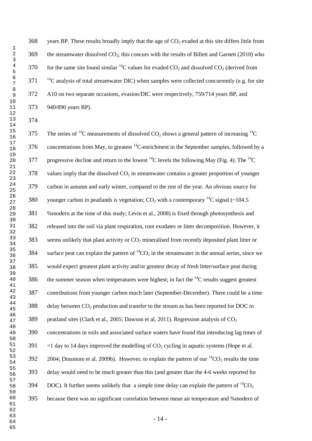368 years BP. These results broadly imply that the age of  $CO<sub>2</sub>$  evaded at this site differs little from the streamwater dissolved  $CO_2$ ; this concurs with the results of Billett and Garnett (2010) who  $f(370)$  for the same site found similar <sup>14</sup>C values for evaded CO<sub>2</sub> and dissolved CO<sub>2</sub> (derived from <sup>14</sup>C analysis of total streamwater DIC) when samples were collected concurrently (e.g. for site A10 on two separate occasions, evasion/DIC were respectively, 759/714 years BP, and 940/890 years BP).

375 The series of <sup>14</sup>C measurements of dissolved  $CO_2$  shows a general pattern of increasing <sup>14</sup>C 376 concentrations from May, to greatest  ${}^{14}$ C-enrichment in the September samples, followed by a 377 progressive decline and return to the lowest <sup>14</sup>C levels the following May (Fig. 4). The <sup>14</sup>C values imply that the dissolved  $CO<sub>2</sub>$  in streamwater contains a greater proportion of younger carbon in autumn and early winter, compared to the rest of the year. An obvious source for 380 vounger carbon in peatlands is vegetation; CO<sub>2</sub> with a contemporary <sup>14</sup>C signal (~104.5 %modern at the time of this study; Levin et al., 2008) is fixed through photosynthesis and released into the soil via plant respiration, root exudates or litter decomposition. However, it seems unlikely that plant activity or  $CO<sub>2</sub>$  mineralised from recently deposited plant litter or 384 surface peat can explain the pattern of  ${}^{14}CO_2$  in the streamwater in the annual series, since we would expect greatest plant activity and/or greatest decay of fresh litter/surface peat during 386 the summer season when temperatures were highest; in fact the  ${}^{14}C$  results suggest greatest contributions from younger carbon much later (September-December). There could be a time delay between  $CO<sub>2</sub>$  production and transfer to the stream as has been reported for DOC in 389 peatland sites (Clark et al., 2005; Dawson et al. 2011). Regression analysis of  $CO<sub>2</sub>$  concentrations in soils and associated surface waters have found that introducing lag times of  $391 \times 1$  day to 14 days improved the modelling of CO<sub>2</sub> cycling in aquatic systems (Hope et al.) ; Dinsmore et al. 2009b). However, to explain the pattern of our <sup>14</sup>CO<sub>2</sub> results the time delay would need to be much greater than this (and greater than the 4-6 weeks reported for 394 DOC). It further seems unlikely that a simple time delay can explain the pattern of  ${}^{14}CO_2$ because there was no significant correlation between mean air temperature and %modern of

- 14 -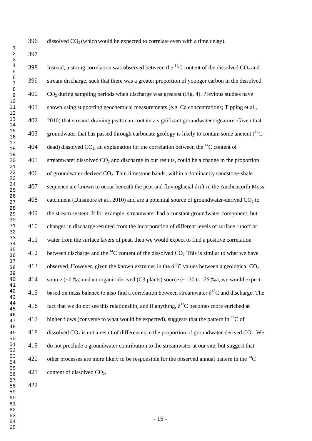396 dissolved  $CO<sub>2</sub>$  (which would be expected to correlate even with a time delay).

398 Instead, a strong correlation was observed between the  ${}^{14}C$  content of the dissolved CO<sub>2</sub> and stream discharge, such that there was a greater proportion of younger carbon in the dissolved CO<sub>2</sub> during sampling periods when discharge was greatest (Fig. 4). Previous studies have shown using supporting geochemical measurements (e.g. Ca concentrations; Tipping et al., 2010) that streams draining peats can contain a significant groundwater signature. Given that 403 groundwater that has passed through carbonate geology is likely to contain some ancient  $(^{14}C-$ 404 dead) dissolved CO<sub>2</sub>, an explanation for the correlation between the <sup>14</sup>C content of streamwater dissolved  $CO<sub>2</sub>$  and discharge in our results, could be a change in the proportion of groundwater-derived  $CO<sub>2</sub>$ . Thin limestone bands, within a dominantly sandstone-shale sequence are known to occur beneath the peat and fluvioglacial drift in the Auchencorth Moss 408 catchment (Dinsmore et al., 2010) and are a potential source of groundwater-derived  $CO<sub>2</sub>$  to the stream system. If for example, streamwater had a constant groundwater component, but changes in discharge resulted from the incorporation of different levels of surface runoff or water from the surface layers of peat, then we would expect to find a positive correlation 412 between discharge and the  $^{14}$ C content of the dissolved CO<sub>2</sub>. This is similar to what we have 413 observed. However, given the known extremes in the  $\delta^{13}$ C values between a geological CO<sub>2</sub> 414 source (~0 ‰) and an organic-derived (C3 plants) source (~ -30 to -25 ‰), we would expect 415 based on mass balance to also find a correlation between streamwater  $\delta^{13}$ C and discharge. The 416 fact that we do not see this relationship, and if anything,  $\delta^{13}$ C becomes more enriched at 417 higher flows (converse to what would be expected), suggests that the pattern in  ${}^{14}C$  of 418 dissolved  $CO_2$  is not a result of differences in the proportion of groundwater-derived  $CO_2$ . We do not preclude a groundwater contribution to the streamwater at our site, but suggest that 420 other processes are more likely to be responsible for the observed annual pattern in the  ${}^{14}C$ 421 content of dissolved  $CO<sub>2</sub>$ .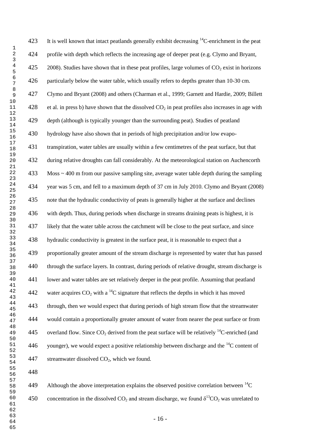423 It is well known that intact peatlands generally exhibit decreasing  $\rm ^{14}C$ -enrichment in the peat profile with depth which reflects the increasing age of deeper peat (e.g. Clymo and Bryant, 425 2008). Studies have shown that in these peat profiles, large volumes of  $CO<sub>2</sub>$  exist in horizons particularly below the water table, which usually refers to depths greater than 10-30 cm. Clymo and Bryant (2008) and others (Charman et al., 1999; Garnett and Hardie, 2009; Billett 428 et al. in press b) have shown that the dissolved  $CO<sub>2</sub>$  in peat profiles also increases in age with depth (although is typically younger than the surrounding peat). Studies of peatland hydrology have also shown that in periods of high precipitation and/or low evapo- transpiration, water tables are usually within a few centimetres of the peat surface, but that during relative droughts can fall considerably. At the meteorological station on Auchencorth Moss ~ 400 m from our passive sampling site, average water table depth during the sampling year was 5 cm, and fell to a maximum depth of 37 cm in July 2010. Clymo and Bryant (2008) note that the hydraulic conductivity of peats is generally higher at the surface and declines with depth. Thus, during periods when discharge in streams draining peats is highest, it is likely that the water table across the catchment will be close to the peat surface, and since hydraulic conductivity is greatest in the surface peat, it is reasonable to expect that a proportionally greater amount of the stream discharge is represented by water that has passed through the surface layers. In contrast, during periods of relative drought, stream discharge is lower and water tables are set relatively deeper in the peat profile. Assuming that peatland 442 water acquires  $CO_2$  with a <sup>14</sup>C signature that reflects the depths in which it has moved through, then we would expect that during periods of high stream flow that the streamwater would contain a proportionally greater amount of water from nearer the peat surface or from 445 overland flow. Since  $CO_2$  derived from the peat surface will be relatively <sup>14</sup>C-enriched (and 446 vounger), we would expect a positive relationship between discharge and the  $^{14}C$  content of 447 streamwater dissolved  $CO<sub>2</sub>$ , which we found.

Although the above interpretation explains the observed positive correlation between  ${}^{14}C$ 450 concentration in the dissolved  $CO_2$  and stream discharge, we found  $\delta^{13}CO_2$  was unrelated to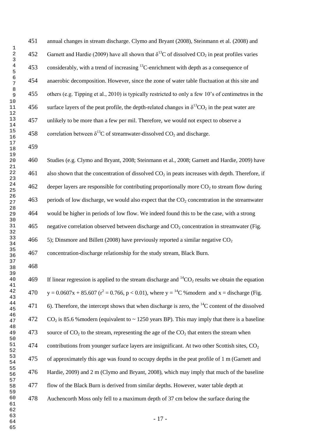annual changes in stream discharge. Clymo and Bryant (2008), Steinmann et al. (2008) and 452 Garnett and Hardie (2009) have all shown that  $\delta^{13}$ C of dissolved CO<sub>2</sub> in peat profiles varies 453 considerably, with a trend of increasing  ${}^{13}$ C-enrichment with depth as a consequence of anaerobic decomposition. However, since the zone of water table fluctuation at this site and others (e.g. Tipping et al., 2010) is typically restricted to only a few 10"s of centimetres in the 456 surface layers of the peat profile, the depth-related changes in  $\delta^{13}CO_2$  in the peat water are unlikely to be more than a few per mil. Therefore, we would not expect to observe a 458 correlation between  $\delta^{13}$ C of streamwater-dissolved CO<sub>2</sub> and discharge.

 Studies (e.g. Clymo and Bryant, 2008; Steinmann et al., 2008; Garnett and Hardie, 2009) have 461 also shown that the concentration of dissolved  $CO<sub>2</sub>$  in peats increases with depth. Therefore, if 462 deeper layers are responsible for contributing proportionally more  $CO<sub>2</sub>$  to stream flow during 463 periods of low discharge, we would also expect that the  $CO_2$  concentration in the streamwater would be higher in periods of low flow. We indeed found this to be the case, with a strong 465 negative correlation observed between discharge and  $CO<sub>2</sub>$  concentration in streamwater (Fig. 466  $\,$  5); Dinsmore and Billett (2008) have previously reported a similar negative CO<sub>2</sub>

concentration-discharge relationship for the study stream, Black Burn.

169 If linear regression is applied to the stream discharge and  ${}^{14}CO_2$  results we obtain the equation 470  $y = 0.0607x + 85.607$  ( $r^2 = 0.766$ ,  $p < 0.01$ ), where  $y = {}^{14}C$  % modern and  $x =$  discharge (Fig. 471 6). Therefore, the intercept shows that when discharge is zero, the  $^{14}C$  content of the dissolved 472 CO<sub>2</sub> is 85.6 % modern (equivalent to  $\sim$  1250 years BP). This may imply that there is a baseline 473 source of  $CO_2$  to the stream, representing the age of the  $CO_2$  that enters the stream when 474 contributions from younger surface layers are insignificant. At two other Scottish sites,  $CO<sub>2</sub>$  of approximately this age was found to occupy depths in the peat profile of 1 m (Garnett and Hardie, 2009) and 2 m (Clymo and Bryant, 2008), which may imply that much of the baseline flow of the Black Burn is derived from similar depths. However, water table depth at Auchencorth Moss only fell to a maximum depth of 37 cm below the surface during the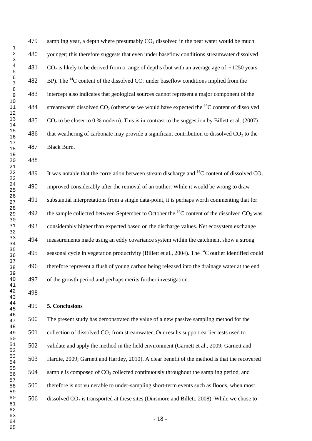479 sampling year, a depth where presumably  $CO<sub>2</sub>$  dissolved in the peat water would be much younger; this therefore suggests that even under baseflow conditions streamwater dissolved 481 CO<sub>2</sub> is likely to be derived from a range of depths (but with an average age of  $\sim$  1250 years 482 BP). The <sup>14</sup>C content of the dissolved  $CO<sub>2</sub>$  under baseflow conditions implied from the intercept also indicates that geological sources cannot represent a major component of the 484 streamwater dissolved  $CO<sub>2</sub>$  (otherwise we would have expected the <sup>14</sup>C content of dissolved 485 CO<sub>2</sub> to be closer to 0 % modern). This is in contrast to the suggestion by Billett et al. (2007) 486 that weathering of carbonate may provide a significant contribution to dissolved  $CO<sub>2</sub>$  to the Black Burn.

489 It was notable that the correlation between stream discharge and  $^{14}C$  content of dissolved CO<sub>2</sub> improved considerably after the removal of an outlier. While it would be wrong to draw substantial interpretations from a single data-point, it is perhaps worth commenting that for 492 the sample collected between September to October the  $^{14}$ C content of the dissolved CO<sub>2</sub> was considerably higher than expected based on the discharge values. Net ecosystem exchange measurements made using an eddy covariance system within the catchment show a strong 495 seasonal cycle in vegetation productivity [\(Billett](Billett) et al., 2004). The  $^{14}$ C outlier identified could therefore represent a flush of young carbon being released into the drainage water at the end of the growth period and perhaps merits further investigation.

## **5. Conclusions**

 The present study has demonstrated the value of a new passive sampling method for the collection of dissolved  $CO<sub>2</sub>$  from streamwater. Our results support earlier tests used to validate and apply the method in the field environment (Garnett et al., 2009; Garnett and Hardie, 2009; Garnett and Hartley, 2010). A clear benefit of the method is that the recovered 504 sample is composed of  $CO<sub>2</sub>$  collected continuously throughout the sampling period, and therefore is not vulnerable to under-sampling short-term events such as floods, when most 506 dissolved  $CO_2$  is transported at these sites (Dinsmore and Billett, 2008). While we chose to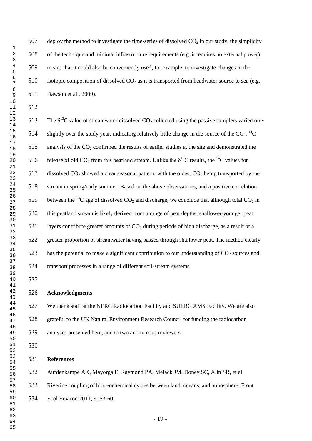507 deploy the method to investigate the time-series of dissolved  $CO<sub>2</sub>$  in our study, the simplicity of the technique and minimal infrastructure requirements (e.g. it requires no external power) means that it could also be conveniently used, for example, to investigate changes in the 510 isotopic composition of dissolved  $CO<sub>2</sub>$  as it is transported from headwater source to sea (e.g. Dawson et al., 2009).

513 The  $\delta^{13}$ C value of streamwater dissolved CO<sub>2</sub> collected using the passive samplers varied only 514 slightly over the study year, indicating relatively little change in the source of the  $CO_2$ . <sup>14</sup>C analysis of the CO<sub>2</sub> confirmed the results of earlier studies at the site and demonstrated the 516 release of old CO<sub>2</sub> from this peatland stream. Unlike the  $\delta^{13}$ C results, the <sup>14</sup>C values for 517 dissolved  $CO_2$  showed a clear seasonal pattern, with the oldest  $CO_2$  being transported by the stream in spring/early summer. Based on the above observations, and a positive correlation 519 between the <sup>14</sup>C age of dissolved  $CO_2$  and discharge, we conclude that although total  $CO_2$  in this peatland stream is likely derived from a range of peat depths, shallower/younger peat 521 layers contribute greater amounts of  $CO<sub>2</sub>$  during periods of high discharge, as a result of a greater proportion of streamwater having passed through shallower peat. The method clearly 523 has the potential to make a significant contribution to our understanding of  $CO_2$  sources and transport processes in a range of different soil-stream systems.

## **Acknowledgments**

 We thank staff at the NERC Radiocarbon Facility and SUERC AMS Facility. We are also grateful to the UK Natural Environment Research Council for funding the radiocarbon analyses presented here, and to two anonymous reviewers.

**References**

Aufdenkampe AK, Mayorga E, Raymond PA, Melack JM, Doney SC, Alin SR, et al.

Riverine coupling of biogeochemical cycles between land, oceans, and atmosphere. Front

Ecol Environ 2011; 9: 53-60.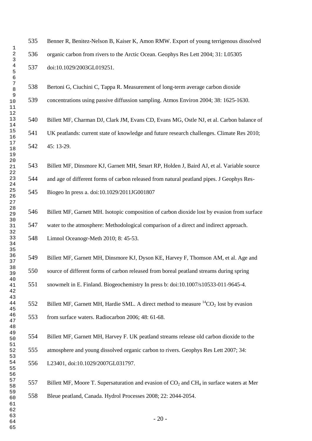Benner R, Benitez-Nelson B, Kaiser K, Amon RMW. Export of young terrigenous dissolved organic carbon from rivers to the Arctic Ocean. Geophys Res Lett 2004; 31: L05305 doi:10.1029/2003GL019251. Bertoni G, Ciuchini C, Tappa R. Measurement of long-term average carbon dioxide concentrations using passive diffussion sampling. Atmos Environ 2004; 38: 1625-1630. Billett MF, Charman DJ, Clark JM, Evans CD, Evans MG, Ostle NJ, et al. Carbon balance of UK peatlands: current state of knowledge and future research challenges. Climate Res 2010; 45: 13-29. Billett MF, Dinsmore KJ, Garnett MH, Smart RP, Holden J, Baird AJ, et al. Variable source and age of different forms of carbon released from natural peatland pipes. J Geophys Res- Biogeo In press a. doi:10.1029/2011JG001807 Billett MF, Garnett MH. Isotopic composition of carbon dioxide lost by evasion from surface water to the atmosphere: Methodological comparison of a direct and indirect approach. Limnol Oceanogr-Meth 2010; 8: 45-53. Billett MF, Garnett MH, Dinsmore KJ, Dyson KE, Harvey F, Thomson AM, et al. Age and source of different forms of carbon released from boreal peatland streams during spring snowmelt in E. Finland. Biogeochemistry In press b: doi:10.1007/s10533-011-9645-4. 552 Billett MF, Garnett MH, Hardie SML. A direct method to measure  ${}^{14}CO_2$  lost by evasion from surface waters. Radiocarbon 2006; 48: 61-68. Billett MF, Garnett MH, Harvey F. UK peatland streams release old carbon dioxide to the atmosphere and young dissolved organic carbon to rivers. Geophys Res Lett 2007; 34: L23401, doi:10.1029/2007GL031797. 557 Billett MF, Moore T. Supersaturation and evasion of  $CO<sub>2</sub>$  and  $CH<sub>4</sub>$  in surface waters at Mer Bleue peatland, Canada. Hydrol Processes 2008; 22: 2044-2054.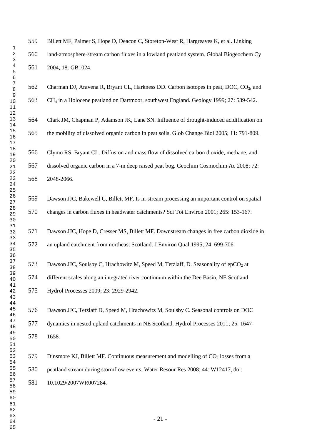Billett MF, Palmer S, Hope D, Deacon C, Storeton-West R, Hargreaves K, et al. Linking land-atmosphere-stream carbon fluxes in a lowland peatland system. Global Biogeochem Cy 2004; 18: GB1024.

562 Charman DJ, Aravena R, Bryant CL, Harkness DD. Carbon isotopes in peat, DOC, CO<sub>2</sub>, and CH<sup>4</sup> in a Holocene peatland on Dartmoor, southwest England. Geology 1999; 27: 539-542.

 Clark JM, Chapman P, Adamson JK, Lane SN. Influence of drought-induced acidification on the mobility of dissolved organic carbon in peat soils. Glob Change Biol 2005; 11: 791-809.

 Clymo RS, Bryant CL. Diffusion and mass flow of dissolved carbon dioxide, methane, and dissolved organic carbon in a 7-m deep raised peat bog. Geochim Cosmochim Ac 2008; 72: 2048-2066.

 Dawson JJC, Bakewell C, Billett MF. Is in-stream processing an important control on spatial changes in carbon fluxes in headwater catchments? Sci Tot Environ 2001; 265: 153-167.

 Dawson JJC, Hope D, Cresser MS, Billett MF. Downstream changes in free carbon dioxide in an upland catchment from northeast Scotland. J Environ Qual 1995; 24: 699-706.

573 Dawson JJC, Soulsby C, Hrachowitz M, Speed M, Tetzlaff, D. Seasonality of  $epCO<sub>2</sub>$  at

different scales along an integrated river continuum within the Dee Basin, NE Scotland.

Hydrol Processes 2009; 23: 2929-2942.

10.1029/2007WR007284.

 Dawson JJC, Tetzlaff D, Speed M, Hrachowitz M, Soulsby C. Seasonal controls on DOC dynamics in nested upland catchments in NE Scotland. Hydrol Processes 2011; 25: 1647- 1658.

579 Dinsmore KJ, Billett MF. Continuous measurement and modelling of  $CO<sub>2</sub>$  losses from a peatland stream during stormflow events. Water Resour Res 2008; 44: W12417, doi: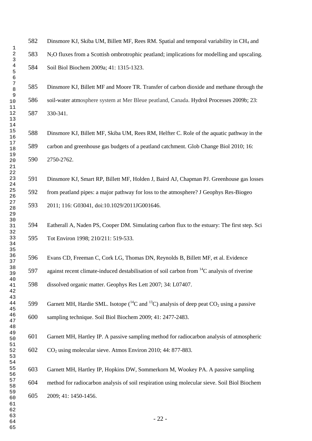Dinsmore KJ, Skiba UM, Billett MF, Rees RM. Spatial and temporal variability in CH<sup>4</sup> and N2O fluxes from a Scottish ombrotrophic peatland; implications for modelling and upscaling. Soil Biol Biochem 2009a; 41: 1315-1323.

 Dinsmore KJ, Billett MF and Moore TR. Transfer of carbon dioxide and methane through the soil-water atmosphere system at Mer Bleue peatland, Canada. Hydrol Processes 2009b; 23: 330-341.

 Dinsmore KJ, Billett MF, Skiba UM, Rees RM, Helfter C. Role of the aquatic pathway in the carbon and greenhouse gas budgets of a peatland catchment. Glob Change Biol 2010; 16: 2750-2762.

 Dinsmore KJ, Smart RP, Billett MF, Holden J, Baird AJ, Chapman PJ. Greenhouse gas losses from peatland pipes: a major pathway for loss to the atmosphere? J Geophys Res-Biogeo 2011; 116: G03041, doi:10.1029/2011JG001646.

 Eatherall A, Naden PS, Cooper DM. Simulating carbon flux to the estuary: The first step. Sci Tot Environ 1998; 210/211: 519-533.

 Evans CD, Freeman C, Cork LG, Thomas DN, Reynolds B, Billett MF, et al. Evidence 597 against recent climate-induced destabilisation of soil carbon from  ${}^{14}C$  analysis of riverine dissolved organic matter. Geophys Res Lett 2007; 34: L07407.

599 Garnett MH, Hardie SML. Isotope  $(14)$ C and  $(13)$ C) analysis of deep peat CO<sub>2</sub> using a passive sampling technique. Soil Biol Biochem 2009; 41: 2477-2483.

 Garnett MH, Hartley IP. A passive sampling method for radiocarbon analysis of atmospheric CO<sup>2</sup> using molecular sieve. Atmos Environ 2010; 44: 877-883.

 Garnett MH, Hartley IP, Hopkins DW, Sommerkorn M, Wookey PA. A passive sampling method for radiocarbon analysis of soil respiration using molecular sieve. Soil Biol Biochem 2009; 41: 1450-1456.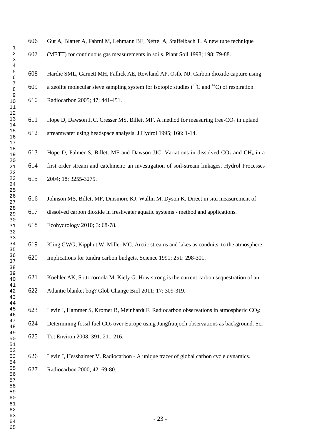| 606 | Gut A, Blatter A, Fahrni M, Lehmann BE, Neftel A, Staffelbach T. A new tube technique                   |
|-----|---------------------------------------------------------------------------------------------------------|
| 607 | (METT) for continuous gas measurements in soils. Plant Soil 1998; 198: 79-88.                           |
| 608 | Hardie SML, Garnett MH, Fallick AE, Rowland AP, Ostle NJ. Carbon dioxide capture using                  |
| 609 | a zeolite molecular sieve sampling system for isotopic studies $(^{13}C$ and $^{14}C$ ) of respiration. |
| 610 | Radiocarbon 2005; 47: 441-451.                                                                          |
| 611 | Hope D, Dawson JJC, Cresser MS, Billett MF. A method for measuring free-CO <sub>2</sub> in upland       |
| 612 | streamwater using headspace analysis. J Hydrol 1995; 166: 1-14.                                         |
| 613 | Hope D, Palmer S, Billett MF and Dawson JJC. Variations in dissolved $CO2$ and CH <sub>4</sub> in a     |
| 614 | first order stream and catchment: an investigation of soil-stream linkages. Hydrol Processes            |
| 615 | 2004; 18: 3255-3275.                                                                                    |
| 616 | Johnson MS, Billett MF, Dinsmore KJ, Wallin M, Dyson K. Direct in situ measurement of                   |
| 617 | dissolved carbon dioxide in freshwater aquatic systems - method and applications.                       |
| 618 | Ecohydrology 2010; 3: 68-78.                                                                            |
| 619 | Kling GWG, Kipphut W, Miller MC. Arctic streams and lakes as conduits to the atmosphere:                |
| 620 | Implications for tundra carbon budgets. Science 1991; 251: 298-301.                                     |
| 621 | Koehler AK, Sottocornola M, Kiely G. How strong is the current carbon sequestration of an               |
| 622 |                                                                                                         |
|     | Atlantic blanket bog? Glob Change Biol 2011; 17: 309-319.                                               |
| 623 | Levin I, Hammer S, Kromer B, Meinhardt F. Radiocarbon observations in atmospheric CO <sub>2</sub> :     |
| 624 | Determining fossil fuel CO <sub>2</sub> over Europe using Jungfraujoch observations as background. Sci  |
| 625 | Tot Environ 2008; 391: 211-216.                                                                         |
| 626 | Levin I, Hesshaimer V. Radiocarbon - A unique tracer of global carbon cycle dynamics.                   |
| 627 | Radiocarbon 2000; 42: 69-80.                                                                            |
|     |                                                                                                         |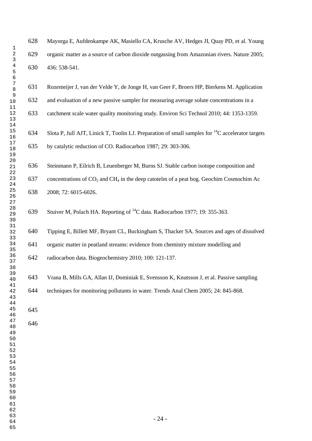Mayorga E, Aufdenkampe AK, Masiello CA, Krusche AV, Hedges JI, Quay PD, et al. Young organic matter as a source of carbon dioxide outgassing from Amazonian rivers. Nature 2005; 436: 538-541.

 Rozemeijer J, van der Velde Y, de Jonge H, van Geer F, Broers HP, Bierkens M. Application and evaluation of a new passive sampler for measuring average solute concentrations in a

catchment scale water quality monitoring study. Environ Sci Technol 2010; 44: 1353-1359.

634 Slota P, Jull AJT, Linick T, Toolin LJ. Preparation of small samples for  $^{14}C$  accelerator targets by catalytic reduction of CO. Radiocarbon 1987; 29: 303-306.

 Steinmann P, Eilrich B, Leuenberger M, Burns SJ. Stable carbon isotope composition and 637 concentrations of  $CO_2$  and  $CH_4$  in the deep catotelm of a peat bog. Geochim Cosmochim Ac 2008; 72: 6015-6026.

639 Stuiver M, Polach HA. Reporting of <sup>14</sup>C data. Radiocarbon 1977; 19: 355-363.

 Tipping E, Billett MF, Bryant CL, Buckingham S, Thacker SA. Sources and ages of dissolved organic matter in peatland streams: evidence from chemistry mixture modelling and

radiocarbon data. Biogeochemistry 2010; 100: 121-137.

 Vrana B, Mills GA, Allan IJ, Dominiak E, Svensson K, Knutsson J, et al. Passive sampling techniques for monitoring pollutants in water. Trends Anal Chem 2005; 24: 845-868.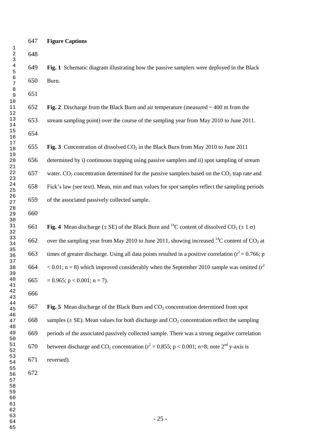## **Figure Captions**

 **Fig. 1** Schematic diagram illustrating how the passive samplers were deployed in the Black Burn.

**Fig. 2** Discharge from the Black Burn and air temperature (measured ~ 400 m from the

stream sampling point) over the course of the sampling year from May 2010 to June 2011.

655 **Fig. 3** Concentration of dissolved CO<sub>2</sub> in the Black Burn from May 2010 to June 2011

 determined by i) continuous trapping using passive samplers and ii) spot sampling of stream 657 water. CO<sub>2</sub> concentration determined for the passive samplers based on the CO<sub>2</sub> trap rate and Fick"s law (see text). Mean, min and max values for spot samples reflect the sampling periods

of the associated passively collected sample.

**Fig. 4** Mean discharge ( $\pm$  SE) of the Black Burn and <sup>14</sup>C content of dissolved CO<sub>2</sub> ( $\pm$  1  $\sigma$ ) 662 over the sampling year from May 2010 to June 2011, showing increased <sup>14</sup>C content of CO<sub>2</sub> at 663 times of greater discharge. Using all data points resulted in a positive correlation ( $r^2$  = 0.766; p  $< 0.01$ ; n = 8) which improved considerably when the September 2010 sample was omitted ( $r^2$ ) 665 = 0.965; p < 0.001; n = 7).

667 **Fig. 5** Mean discharge of the Black Burn and CO<sub>2</sub> concentration determined from spot 668 samples ( $\pm$  SE). Mean values for both discharge and CO<sub>2</sub> concentration reflect the sampling periods of the associated passively collected sample. There was a strong negative correlation 670 between discharge and CO<sub>2</sub> concentration ( $r^2 = 0.855$ ; p < 0.001; n=8; note 2<sup>nd</sup> y-axis is reversed).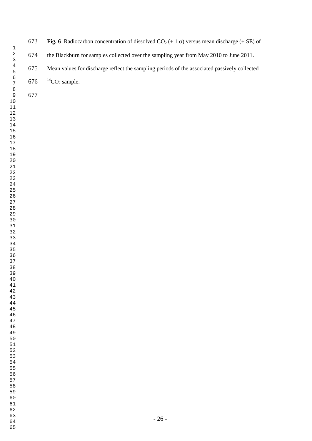**673 Fig. 6** Radiocarbon concentration of dissolved  $CO_2 (\pm 1 \sigma)$  versus mean discharge ( $\pm$  SE) of the Blackburn for samples collected over the sampling year from May 2010 to June 2011. Mean values for discharge reflect the sampling periods of the associated passively collected

<sup>14</sup>CO<sub>2</sub> sample.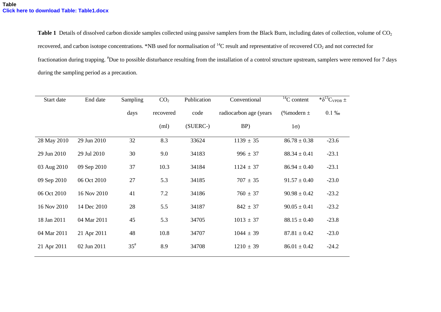**Table 1** Details of dissolved carbon dioxide samples collected using passive samplers from the Black Burn, including dates of collection, volume of CO<sub>2</sub> recovered, and carbon isotope concentrations. \*NB used for normalisation of  ${}^{14}C$  result and representative of recovered CO<sub>2</sub> and not corrected for fractionation during trapping. #Due to possible disturbance resulting from the installation of a control structure upstream, samplers were removed for 7 days during the sampling period as a precaution.

| Start date  | End date    | Sampling | CO <sub>2</sub> | Publication | Conventional           | $\frac{14}{14}$ C content | $*\delta^{13}C_{VPDB}$ ± |
|-------------|-------------|----------|-----------------|-------------|------------------------|---------------------------|--------------------------|
|             |             | days     | recovered       | code        | radiocarbon age (years | $%$ modern $\pm$          | $0.1\%$                  |
|             |             |          | (ml)            | (SUERC-)    | BP)                    | $1\sigma$ )               |                          |
| 28 May 2010 | 29 Jun 2010 | 32       | 8.3             | 33624       | $1139 \pm 35$          | $86.78 \pm 0.38$          | $-23.6$                  |
| 29 Jun 2010 | 29 Jul 2010 | 30       | 9.0             | 34183       | $996 \pm 37$           | $88.34 \pm 0.41$          | $-23.1$                  |
| 03 Aug 2010 | 09 Sep 2010 | 37       | 10.3            | 34184       | $1124 \pm 37$          | $86.94 \pm 0.40$          | $-23.1$                  |
| 09 Sep 2010 | 06 Oct 2010 | 27       | 5.3             | 34185       | $707 \pm 35$           | $91.57 \pm 0.40$          | $-23.0$                  |
| 06 Oct 2010 | 16 Nov 2010 | 41       | 7.2             | 34186       | $760 \pm 37$           | $90.98 \pm 0.42$          | $-23.2$                  |
| 16 Nov 2010 | 14 Dec 2010 | 28       | 5.5             | 34187       | $842 \pm 37$           | $90.05 \pm 0.41$          | $-23.2$                  |
| 18 Jan 2011 | 04 Mar 2011 | 45       | 5.3             | 34705       | $1013 \pm 37$          | $88.15 \pm 0.40$          | $-23.8$                  |
| 04 Mar 2011 | 21 Apr 2011 | 48       | 10.8            | 34707       | $1044 \pm 39$          | $87.81 \pm 0.42$          | $-23.0$                  |
| 21 Apr 2011 | 02 Jun 2011 | $35^{*}$ | 8.9             | 34708       | $1210 \pm 39$          | $86.01 \pm 0.42$          | $-24.2$                  |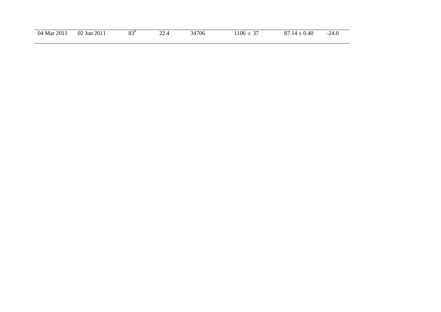| 04<br>$\cdot 201.$<br>Mar | $\cdot$ 201 $\scriptstyle\rm I$<br>02<br>Jun | $\Omega$<br>ິ<br>- - | $\sim$<br><u>____</u><br>the contract of the contract of the | 4706 | $\sim$ $\sim$<br>106<br>1 V V<br>—<br>ັ | ∼<br>40<br>v. Tv<br>$\cdot$ . | .∠—…∪ |
|---------------------------|----------------------------------------------|----------------------|--------------------------------------------------------------|------|-----------------------------------------|-------------------------------|-------|
|                           |                                              |                      |                                                              |      |                                         |                               |       |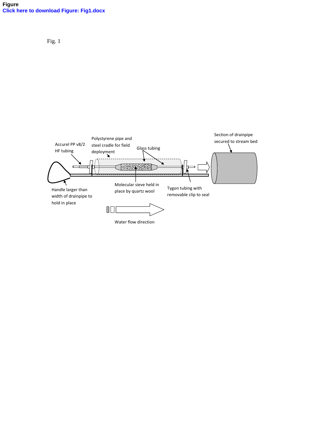## **Figure [Click here to download Figure: Fig1.docx](http://ees.elsevier.com/stoten/download.aspx?id=371769&guid=4ad267c0-3034-4e66-a029-e95ebb4eefa3&scheme=1)**

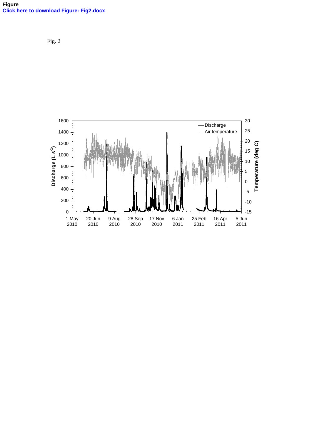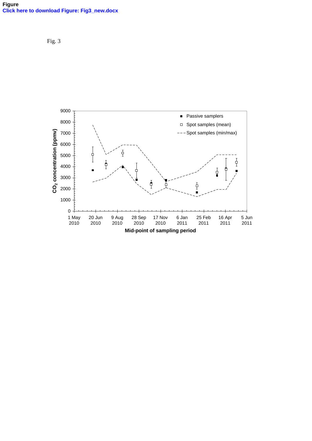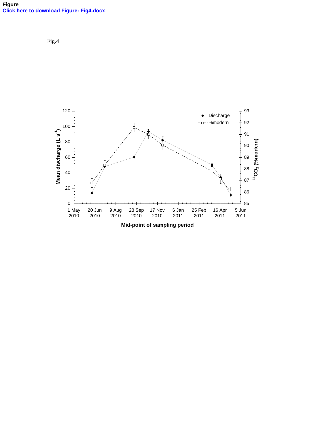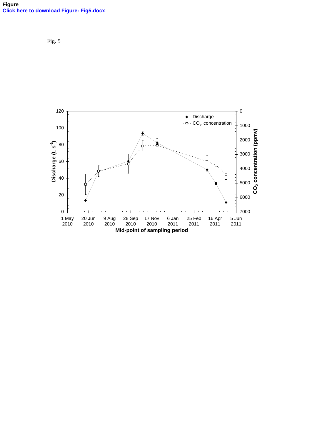